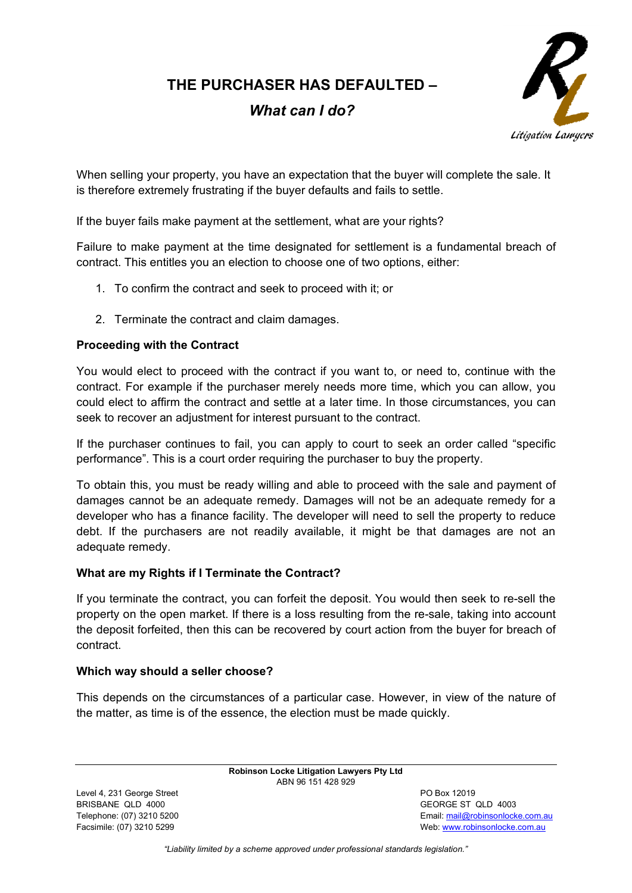**THE PURCHASER HAS DEFAULTED –**

# *What can I do?*



When selling your property, you have an expectation that the buyer will complete the sale. It is therefore extremely frustrating if the buyer defaults and fails to settle.

If the buyer fails make payment at the settlement, what are your rights?

Failure to make payment at the time designated for settlement is a fundamental breach of contract. This entitles you an election to choose one of two options, either:

- 1. To confirm the contract and seek to proceed with it; or
- 2. Terminate the contract and claim damages.

### **Proceeding with the Contract**

You would elect to proceed with the contract if you want to, or need to, continue with the contract. For example if the purchaser merely needs more time, which you can allow, you could elect to affirm the contract and settle at a later time. In those circumstances, you can seek to recover an adjustment for interest pursuant to the contract.

If the purchaser continues to fail, you can apply to court to seek an order called "specific performance". This is a court order requiring the purchaser to buy the property.

To obtain this, you must be ready willing and able to proceed with the sale and payment of damages cannot be an adequate remedy. Damages will not be an adequate remedy for a developer who has a finance facility. The developer will need to sell the property to reduce debt. If the purchasers are not readily available, it might be that damages are not an adequate remedy.

#### **What are my Rights if I Terminate the Contract?**

If you terminate the contract, you can forfeit the deposit. You would then seek to re-sell the property on the open market. If there is a loss resulting from the re-sale, taking into account the deposit forfeited, then this can be recovered by court action from the buyer for breach of contract.

#### **Which way should a seller choose?**

This depends on the circumstances of a particular case. However, in view of the nature of the matter, as time is of the essence, the election must be made quickly.

> **Robinson Locke Litigation Lawyers Pty Ltd** ABN 96 151 428 929

Level 4, 231 George Street **PO Box 12019** BRISBANE QLD 4000 GEORGE ST QLD 4003

Telephone: (07) 3210 5200 Email[: mail@robinsonlocke.com.au](mailto:mail@robinsonlocke.com.au) Facsimile: (07) 3210 5299 **Web: [www.robinsonlocke.com.au](http://www.robinsonlocke.com.au/)** 

*"Liability limited by a scheme approved under professional standards legislation."*